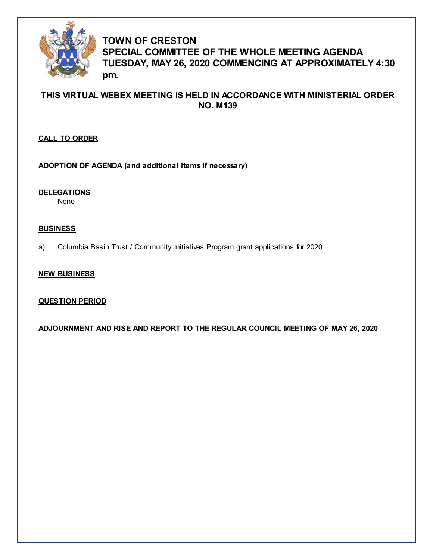

# **TOWN OF CRESTON SPECIAL COMMITTEE OF THE WHOLE MEETING AGENDA TUESDAY, MAY 26, 2020 COMMENCING AT APPROXIMATELY 4:30 pm.**

# **THIS VIRTUAL WEBEX MEETING IS HELD IN ACCORDANCE WITH MINISTERIAL ORDER NO. M139**

## **CALL TO ORDER**

**ADOPTION OF AGENDA (and additional items if necessary)**

**DELEGATIONS**

- None

### **BUSINESS**

a) Columbia Basin Trust / Community Initiatives Program grant applications for 2020

## **NEW BUSINESS**

## **QUESTION PERIOD**

**ADJOURNMENT AND RISE AND REPORT TO THE REGULAR COUNCIL MEETING OF MAY 26, 2020**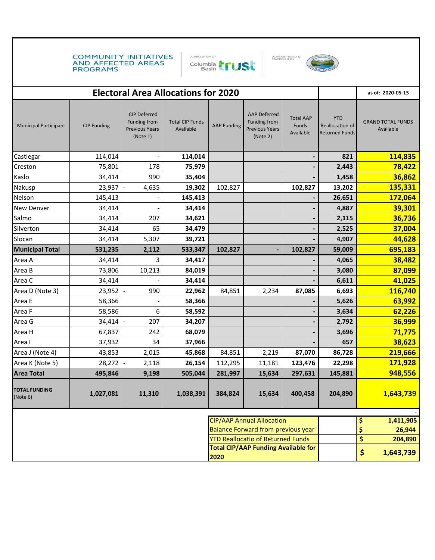COMMUNITY INITIATIVES<br>AND AFFECTED AREAS **PROGRAMS** 







| <b>Electoral Area Allocations for 2020</b>                                    |                    |                                                                          |                                     |                    |                                                                          |                                        |                                                        | as of: 2020-05-15                     |                   |
|-------------------------------------------------------------------------------|--------------------|--------------------------------------------------------------------------|-------------------------------------|--------------------|--------------------------------------------------------------------------|----------------------------------------|--------------------------------------------------------|---------------------------------------|-------------------|
| <b>Municipal Participant</b>                                                  | <b>CIP Funding</b> | <b>CIP Deferred</b><br>Funding from<br><b>Previous Years</b><br>(Note 1) | <b>Total CIP Funds</b><br>Available | <b>AAP Funding</b> | <b>AAP Deferred</b><br>Funding from<br><b>Previous Years</b><br>(Note 2) | <b>Total AAP</b><br>Funds<br>Available | <b>YTD</b><br>Reallocation of<br><b>Returned Funds</b> | <b>GRAND TOTAL FUNDS</b><br>Available |                   |
| Castlegar                                                                     | 114,014            |                                                                          | 114,014                             |                    |                                                                          | $\blacksquare$                         | 821                                                    |                                       | 114,835           |
| Creston                                                                       | 75,801             | 178                                                                      | 75,979                              |                    |                                                                          |                                        | 2,443                                                  |                                       | 78,422            |
| Kaslo                                                                         | 34,414             | 990                                                                      | 35,404                              |                    |                                                                          |                                        | 1,458                                                  |                                       | 36,862            |
| Nakusp                                                                        | 23,937             | 4,635                                                                    | 19,302                              | 102,827            |                                                                          | 102,827                                | 13,202                                                 |                                       | 135,331           |
| Nelson                                                                        | 145,413            |                                                                          | 145,413                             |                    |                                                                          | -                                      | 26,651                                                 |                                       | 172,064           |
| <b>New Denver</b>                                                             | 34,414             |                                                                          | 34,414                              |                    |                                                                          | -                                      | 4,887                                                  |                                       | 39,301            |
| Salmo                                                                         | 34,414             | 207                                                                      | 34,621                              |                    |                                                                          | -                                      | 2,115                                                  |                                       | 36,736            |
| Silverton                                                                     | 34,414             | 65                                                                       | 34,479                              |                    |                                                                          |                                        | 2,525                                                  |                                       | 37,004            |
| Slocan                                                                        | 34,414             | 5,307                                                                    | 39,721                              |                    |                                                                          | -                                      | 4,907                                                  |                                       | 44,628            |
| <b>Municipal Total</b>                                                        | 531,235            | 2,112                                                                    | 533,347                             | 102,827            |                                                                          | 102,827                                | 59,009                                                 |                                       | 695,183           |
| Area A                                                                        | 34,414             | 3                                                                        | 34,417                              |                    |                                                                          |                                        | 4,065                                                  |                                       | 38,482            |
| Area B                                                                        | 73,806             | 10,213                                                                   | 84,019                              |                    |                                                                          |                                        | 3,080                                                  |                                       | 87,099            |
| Area C                                                                        | 34,414             |                                                                          | 34,414                              |                    |                                                                          |                                        | 6,611                                                  |                                       | 41,025            |
| Area D (Note 3)                                                               | 23,952             | 990                                                                      | 22,962                              | 84,851             | 2,234                                                                    | 87,085                                 | 6,693                                                  |                                       | 116,740           |
| Area E                                                                        | 58,366             |                                                                          | 58,366                              |                    |                                                                          |                                        | 5,626                                                  |                                       | 63,992            |
| Area F                                                                        | 58,586             | 6                                                                        | 58,592                              |                    |                                                                          | -                                      | 3,634                                                  |                                       | 62,226            |
| Area G                                                                        | 34,414             | 207                                                                      | 34,207                              |                    |                                                                          | -                                      | 2,792                                                  |                                       | 36,999            |
| Area H                                                                        | 67,837             | 242                                                                      | 68,079                              |                    |                                                                          | -                                      | 3,696                                                  |                                       | 71,775            |
| Area I                                                                        | 37,932             | 34                                                                       | 37,966                              |                    |                                                                          |                                        | 657                                                    |                                       | 38,623            |
| Area J (Note 4)                                                               | 43,853             | 2,015                                                                    | 45,868                              | 84,851             | 2,219                                                                    | 87,070                                 | 86,728                                                 |                                       | 219,666           |
| Area K (Note 5)                                                               | 28,272             | 2,118                                                                    | 26,154                              | 112,295            | 11,181                                                                   | 123,476                                | 22,298                                                 |                                       | 171,928           |
| <b>Area Total</b>                                                             | 495,846            | 9,198                                                                    | 505,044                             | 281,997            | 15,634                                                                   | 297,631                                | 145,881                                                |                                       | 948,556           |
| <b>TOTAL FUNDING</b><br>(Note 6)                                              | 1,027,081          | 11,310                                                                   | 1,038,391                           | 384,824            | 15,634                                                                   | 400,458                                | 204,890                                                |                                       | 1,643,739         |
|                                                                               |                    |                                                                          |                                     |                    |                                                                          |                                        |                                                        |                                       |                   |
| <b>CIP/AAP Annual Allocation</b><br><b>Balance Forward from previous year</b> |                    |                                                                          |                                     |                    |                                                                          |                                        |                                                        | \$                                    | 1,411,905         |
|                                                                               |                    |                                                                          |                                     |                    | <b>YTD Reallocatio of Returned Funds</b>                                 |                                        |                                                        | \$<br>\$                              | 26,944<br>204,890 |
| <b>Total CIP/AAP Funding Available for</b>                                    |                    |                                                                          |                                     |                    |                                                                          |                                        |                                                        |                                       |                   |
| 2020                                                                          |                    |                                                                          |                                     |                    |                                                                          |                                        | \$                                                     | 1,643,739                             |                   |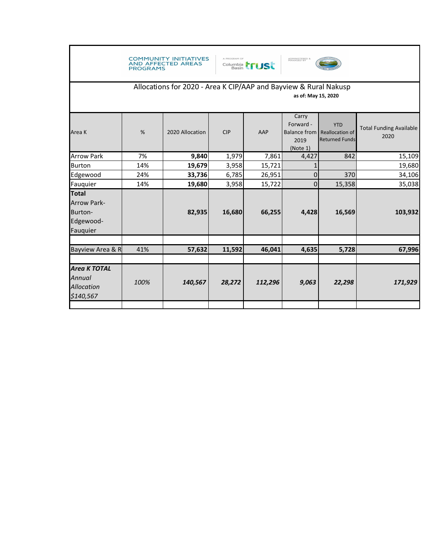|                                                                                         | <b>PROGRAMS</b> | <b>COMMUNITY INITIATIVES</b><br><b>AND AFFECTED AREAS</b> | A PROGRAM OF | Columbia <b>FUS</b> | ADMINISTERED &<br>MANAGED BY           |                                                                       |                                        |
|-----------------------------------------------------------------------------------------|-----------------|-----------------------------------------------------------|--------------|---------------------|----------------------------------------|-----------------------------------------------------------------------|----------------------------------------|
| Allocations for 2020 - Area K CIP/AAP and Bayview & Rural Nakusp<br>as of: May 15, 2020 |                 |                                                           |              |                     |                                        |                                                                       |                                        |
| Area K                                                                                  | %               | 2020 Allocation                                           | <b>CIP</b>   | AAP                 | Carry<br>Forward -<br>2019<br>(Note 1) | <b>YTD</b><br>Balance from   Reallocation of<br><b>Returned Funds</b> | <b>Total Funding Available</b><br>2020 |
| <b>Arrow Park</b>                                                                       | 7%              | 9,840                                                     | 1,979        | 7,861               | 4,427                                  | 842                                                                   | 15,109                                 |
| <b>Burton</b>                                                                           | 14%             | 19,679                                                    | 3,958        | 15,721              | $\mathbf{1}$                           |                                                                       | 19,680                                 |
| Edgewood                                                                                | 24%             | 33,736                                                    | 6,785        | 26,951              | $\overline{0}$                         | 370                                                                   | 34,106                                 |
| Fauquier                                                                                | 14%             | 19,680                                                    | 3,958        | 15,722              | $\overline{0}$                         | 15,358                                                                | 35,038                                 |
| <b>Total</b><br><b>Arrow Park-</b><br>Burton-<br>Edgewood-<br>Fauquier                  |                 | 82,935                                                    | 16,680       | 66,255              | 4,428                                  | 16,569                                                                | 103,932                                |
|                                                                                         |                 |                                                           |              |                     |                                        |                                                                       |                                        |
| Bayview Area & R                                                                        | 41%             | 57,632                                                    | 11,592       | 46,041              | 4,635                                  | 5,728                                                                 | 67,996                                 |
| <b>Area K TOTAL</b><br>Annual<br>Allocation<br>\$140,567                                | 100%            | 140,567                                                   | 28,272       | 112,296             | 9,063                                  | 22,298                                                                | 171,929                                |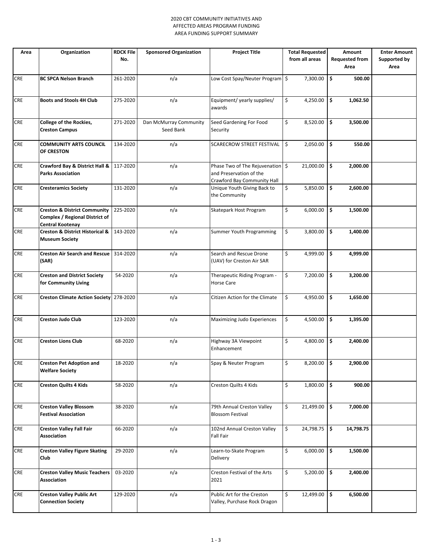#### 2020 CBT COMMUNITY INITIATIVES AND AFFECTED AREAS PROGRAM FUNDING AREA FUNDING SUPPORT SUMMARY

| Area       | Organization                                                                                  | <b>RDCK File</b><br>No. | <b>Sponsored Organization</b>       | <b>Project Title</b>                                                                       | <b>Total Requested</b><br>from all areas | Amount<br><b>Requested from</b> | <b>Enter Amount</b><br>Supported by |
|------------|-----------------------------------------------------------------------------------------------|-------------------------|-------------------------------------|--------------------------------------------------------------------------------------------|------------------------------------------|---------------------------------|-------------------------------------|
|            |                                                                                               |                         |                                     |                                                                                            |                                          | Area                            | Area                                |
| <b>CRE</b> | <b>BC SPCA Nelson Branch</b>                                                                  | 261-2020                | n/a                                 | Low Cost Spay/Neuter Program \$                                                            | 7,300.00                                 | 500.00<br>\$                    |                                     |
| CRE        | <b>Boots and Stools 4H Club</b>                                                               | 275-2020                | n/a                                 | Equipment/ yearly supplies/<br>awards                                                      | \$<br>4,250.00                           | \$<br>1,062.50                  |                                     |
| CRE        | College of the Rockies,<br><b>Creston Campus</b>                                              | 271-2020                | Dan McMurray Community<br>Seed Bank | Seed Gardening For Food<br>Security                                                        | \$<br>8,520.00                           | \$<br>3,500.00                  |                                     |
| <b>CRE</b> | <b>COMMUNITY ARTS COUNCIL</b><br>OF CRESTON                                                   | 134-2020                | n/a                                 | SCARECROW STREET FESTIVAL                                                                  | \$<br>2,050.00                           | \$<br>550.00                    |                                     |
| <b>CRE</b> | Crawford Bay & District Hall &<br><b>Parks Association</b>                                    | 117-2020                | n/a                                 | Phase Two of The Rejuvenation \$<br>and Preservation of the<br>Crawford Bay Community Hall | 21,000.00                                | \$<br>2,000.00                  |                                     |
| <b>CRE</b> | <b>Cresteramics Society</b>                                                                   | 131-2020                | n/a                                 | Unique Youth Giving Back to<br>the Community                                               | \$<br>5,850.00                           | \$<br>2,600.00                  |                                     |
| <b>CRE</b> | <b>Creston &amp; District Community</b><br>Complex / Regional District of<br>Central Kootenay | 225-2020                | n/a                                 | Skatepark Host Program                                                                     | \$<br>6,000.00                           | \$<br>1,500.00                  |                                     |
| CRE        | <b>Creston &amp; District Historical &amp;</b><br><b>Museum Society</b>                       | 143-2020                | n/a                                 | Summer Youth Programming                                                                   | \$<br>3,800.00                           | \$<br>1,400.00                  |                                     |
| <b>CRE</b> | <b>Creston Air Search and Rescue</b><br>(SAR)                                                 | 314-2020                | n/a                                 | Search and Rescue Drone<br>(UAV) for Creston Air SAR                                       | \$<br>4,999.00                           | \$<br>4,999.00                  |                                     |
| <b>CRE</b> | <b>Creston and District Society</b><br>for Community Living                                   | 54-2020                 | n/a                                 | Therapeutic Riding Program -<br>Horse Care                                                 | \$<br>7,200.00                           | \$<br>3,200.00                  |                                     |
| <b>CRE</b> | Creston Climate Action Society 278-2020                                                       |                         | n/a                                 | Citizen Action for the Climate                                                             | \$<br>4,950.00                           | \$<br>1,650.00                  |                                     |
| CRE        | Creston Judo Club                                                                             | 123-2020                | n/a                                 | Maximizing Judo Experiences                                                                | \$<br>4,500.00                           | \$<br>1,395.00                  |                                     |
| <b>CRE</b> | <b>Creston Lions Club</b>                                                                     | 68-2020                 | n/a                                 | Highway 3A Viewpoint<br>Enhancement                                                        | \$<br>4,800.00                           | \$<br>2,400.00                  |                                     |
| CRE        | <b>Creston Pet Adoption and</b><br><b>Welfare Society</b>                                     | 18-2020                 | n/a                                 | Spay & Neuter Program                                                                      | \$<br>8,200.00 \$                        | 2,900.00                        |                                     |
| <b>CRE</b> | <b>Creston Quilts 4 Kids</b>                                                                  | 58-2020                 | n/a                                 | Creston Quilts 4 Kids                                                                      | \$<br>1,800.00                           | \$<br>900.00                    |                                     |
| <b>CRE</b> | <b>Creston Valley Blossom</b><br><b>Festival Association</b>                                  | 38-2020                 | n/a                                 | 79th Annual Creston Valley<br><b>Blossom Festival</b>                                      | \$<br>$21,499.00$ \$                     | 7,000.00                        |                                     |
| CRE        | <b>Creston Valley Fall Fair</b><br>Association                                                | 66-2020                 | n/a                                 | 102nd Annual Creston Valley<br>Fall Fair                                                   | \$<br>24,798.75                          | ا \$ا<br>14,798.75              |                                     |
| <b>CRE</b> | <b>Creston Valley Figure Skating</b><br>Club                                                  | 29-2020                 | n/a                                 | Learn-to-Skate Program<br>Delivery                                                         | \$<br>6,000.00                           | \$<br>1,500.00                  |                                     |
| <b>CRE</b> | <b>Creston Valley Music Teachers</b><br>Association                                           | 03-2020                 | n/a                                 | Creston Festival of the Arts<br>2021                                                       | \$<br>5,200.00                           | ۱\$.<br>2,400.00                |                                     |
| <b>CRE</b> | <b>Creston Valley Public Art</b><br><b>Connection Society</b>                                 | 129-2020                | n/a                                 | Public Art for the Creston<br>Valley, Purchase Rock Dragon                                 | \$<br>12,499.00 \$                       | 6,500.00                        |                                     |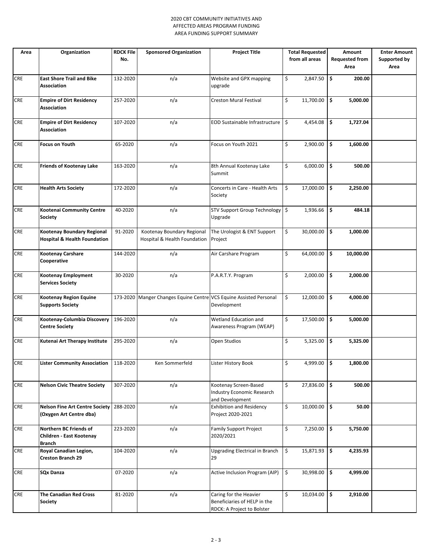#### 2020 CBT COMMUNITY INITIATIVES AND AFFECTED AREAS PROGRAM FUNDING AREA FUNDING SUPPORT SUMMARY

| Area       | Organization                                                          | <b>RDCK File</b><br>No. | <b>Sponsored Organization</b>                                      | <b>Project Title</b>                                                                 | <b>Total Requested</b><br>from all areas | Amount<br><b>Requested from</b><br>Area | <b>Enter Amount</b><br>Supported by<br>Area |
|------------|-----------------------------------------------------------------------|-------------------------|--------------------------------------------------------------------|--------------------------------------------------------------------------------------|------------------------------------------|-----------------------------------------|---------------------------------------------|
| <b>CRE</b> | <b>East Shore Trail and Bike</b><br><b>Association</b>                | 132-2020                | n/a                                                                | Website and GPX mapping<br>upgrade                                                   | \$<br>2,847.50                           | l \$<br>200.00                          |                                             |
| <b>CRE</b> | <b>Empire of Dirt Residency</b><br><b>Association</b>                 | 257-2020                | n/a                                                                | Creston Mural Festival                                                               | \$<br>11,700.00                          | \$ ا<br>5,000.00                        |                                             |
| <b>CRE</b> | <b>Empire of Dirt Residency</b><br><b>Association</b>                 | 107-2020                | n/a                                                                | EOD Sustainable Infrastructure                                                       | 4,454.08<br>\$                           | \$<br>1,727.04                          |                                             |
| <b>CRE</b> | Focus on Youth                                                        | 65-2020                 | n/a                                                                | Focus on Youth 2021                                                                  | \$<br>2,900.00                           | ۱\$.<br>1,600.00                        |                                             |
| <b>CRE</b> | <b>Friends of Kootenay Lake</b>                                       | 163-2020                | n/a                                                                | 8th Annual Kootenay Lake<br>Summit                                                   | \$<br>6,000.00                           | \$<br>500.00                            |                                             |
| <b>CRE</b> | <b>Health Arts Society</b>                                            | 172-2020                | n/a                                                                | Concerts in Care - Health Arts<br>Society                                            | \$<br>17,000.00                          | \$<br>2,250.00                          |                                             |
| <b>CRE</b> | Kootenai Community Centre<br>Society                                  | 40-2020                 | n/a                                                                | STV Support Group Technology   \$<br>Upgrade                                         | 1,936.66                                 | ۱\$<br>484.18                           |                                             |
| <b>CRE</b> | Kootenay Boundary Regional<br><b>Hospital &amp; Health Foundation</b> | 91-2020                 | Kootenay Boundary Regional<br>Hospital & Health Foundation         | The Urologist & ENT Support<br>Project                                               | \$<br>30,000.00                          | \$ ا<br>1,000.00                        |                                             |
| <b>CRE</b> | Kootenay Carshare<br>Cooperative                                      | 144-2020                | n/a                                                                | Air Carshare Program                                                                 | \$<br>64,000.00                          | ۱\$.<br>10,000.00                       |                                             |
| <b>CRE</b> | Kootenay Employment<br><b>Services Society</b>                        | 30-2020                 | n/a                                                                | P.A.R.T.Y. Program                                                                   | \$<br>2,000.00                           | ا \$<br>2,000.00                        |                                             |
| <b>CRE</b> | Kootenay Region Equine<br><b>Supports Society</b>                     |                         | 173-2020 Manger Changes Equine Centre VCS Equine Assisted Personal | Development                                                                          | \$<br>12,000.00                          | l \$<br>4,000.00                        |                                             |
| <b>CRE</b> | Kootenay-Columbia Discovery<br><b>Centre Society</b>                  | 196-2020                | n/a                                                                | Wetland Education and<br>Awareness Program (WEAP)                                    | \$<br>17,500.00                          | \$<br>5,000.00                          |                                             |
| <b>CRE</b> | Kutenai Art Therapy Institute                                         | 295-2020                | n/a                                                                | Open Studios                                                                         | \$<br>5,325.00                           | \$<br>5,325.00                          |                                             |
| <b>CRE</b> | Lister Community Association   118-2020                               |                         | Ken Sommerfeld                                                     | Lister History Book                                                                  | \$<br>4,999.00 \$                        | 1,800.00                                |                                             |
| <b>CRE</b> | <b>Nelson Civic Theatre Society</b>                                   | 307-2020                | n/a                                                                | Kootenay Screen-Based<br><b>Industry Economic Research</b><br>and Development        | \$<br>$27,836.00$ \$                     | 500.00                                  |                                             |
| <b>CRE</b> | <b>Nelson Fine Art Centre Society</b><br>(Oxygen Art Centre dba)      | 288-2020                | n/a                                                                | <b>Exhibition and Residency</b><br>Project 2020-2021                                 | \$<br>$10,000.00$ \$                     | 50.00                                   |                                             |
| <b>CRE</b> | Northern BC Friends of<br>Children - East Kootenay<br>Branch          | 223-2020                | n/a                                                                | <b>Family Support Project</b><br>2020/2021                                           | \$<br>7,250.00                           | ۱\$.<br>5,750.00                        |                                             |
| <b>CRE</b> | Royal Canadian Legion,<br><b>Creston Branch 29</b>                    | 104-2020                | n/a                                                                | <b>Upgrading Electrical in Branch</b><br>29                                          | \$<br>15,871.93                          | $\vert$ \$<br>4,235.93                  |                                             |
| <b>CRE</b> | <b>SQx Danza</b>                                                      | 07-2020                 | n/a                                                                | Active Inclusion Program (AIP)                                                       | \$<br>$30,998.00$ \$                     | 4,999.00                                |                                             |
| CRE        | <b>The Canadian Red Cross</b><br><b>Society</b>                       | 81-2020                 | n/a                                                                | Caring for the Heavier<br>Beneficiaries of HELP in the<br>RDCK: A Project to Bolster | \$<br>$10,034.00$ \$                     | 2,910.00                                |                                             |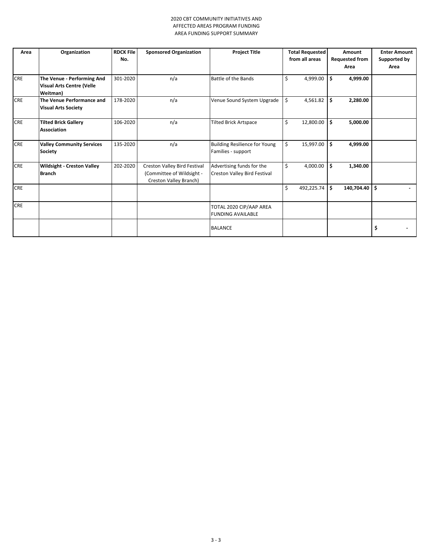#### 2020 CBT COMMUNITY INITIATIVES AND AFFECTED AREAS PROGRAM FUNDING AREA FUNDING SUPPORT SUMMARY

| Area       | Organization                                                               | <b>RDCK File</b><br>No. | <b>Sponsored Organization</b>                                                       | <b>Project Title</b>                                       | <b>Total Requested</b><br>from all areas | Amount<br><b>Requested from</b> | <b>Enter Amount</b><br>Supported by |
|------------|----------------------------------------------------------------------------|-------------------------|-------------------------------------------------------------------------------------|------------------------------------------------------------|------------------------------------------|---------------------------------|-------------------------------------|
|            |                                                                            |                         |                                                                                     |                                                            |                                          | Area                            | Area                                |
| <b>CRE</b> | The Venue - Performing And<br><b>Visual Arts Centre (Velle</b><br>Weitman) | 301-2020                | n/a                                                                                 | Battle of the Bands                                        | \$<br>4,999.00                           | \$.<br>4,999.00                 |                                     |
| <b>CRE</b> | The Venue Performance and<br><b>Visual Arts Society</b>                    | 178-2020                | n/a                                                                                 | Venue Sound System Upgrade                                 | \$<br>4,561.82                           | \$<br>2,280.00                  |                                     |
| <b>CRE</b> | <b>Tilted Brick Gallery</b><br><b>Association</b>                          | 106-2020                | n/a                                                                                 | <b>Tilted Brick Artspace</b>                               | \$<br>12,800.00                          | \$<br>5,000.00                  |                                     |
| <b>CRE</b> | <b>Valley Community Services</b><br>Society                                | 135-2020                | n/a                                                                                 | <b>Building Resilience for Young</b><br>Families - support | \$<br>15,997.00                          | \$<br>4,999.00                  |                                     |
| <b>CRE</b> | <b>Wildsight - Creston Valley</b><br><b>Branch</b>                         | 202-2020                | Creston Valley Bird Festival<br>(Committee of Wildsight -<br>Creston Valley Branch) | Advertising funds for the<br>Creston Valley Bird Festival  | \$<br>4,000.00                           | \$<br>1,340.00                  |                                     |
| <b>CRE</b> |                                                                            |                         |                                                                                     |                                                            | \$<br>492,225.74                         | \$<br>140,704.40                | \$                                  |
| <b>CRE</b> |                                                                            |                         |                                                                                     | TOTAL 2020 CIP/AAP AREA<br><b>FUNDING AVAILABLE</b>        |                                          |                                 |                                     |
|            |                                                                            |                         |                                                                                     | <b>BALANCE</b>                                             |                                          |                                 | \$                                  |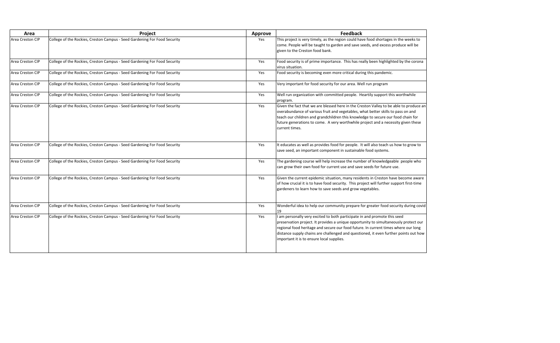| Area             | Project                                                                   | <b>Approve</b> | <b>Feedback</b>                                                                                                                                                                                                                                                                                                          |
|------------------|---------------------------------------------------------------------------|----------------|--------------------------------------------------------------------------------------------------------------------------------------------------------------------------------------------------------------------------------------------------------------------------------------------------------------------------|
| Area Creston CIP | College of the Rockies, Creston Campus - Seed Gardening For Food Security | Yes            | This project is very timely, as the region could have food shortag<br>come. People will be taught to garden and save seeds, and exce<br>given to the Creston food bank.                                                                                                                                                  |
| Area Creston CIP | College of the Rockies, Creston Campus - Seed Gardening For Food Security | Yes            | Food security is of prime importance. This has really been highl<br>virus situation.                                                                                                                                                                                                                                     |
| Area Creston CIP | College of the Rockies, Creston Campus - Seed Gardening For Food Security | Yes            | Food security is becoming even more critical during this panden                                                                                                                                                                                                                                                          |
| Area Creston CIP | College of the Rockies, Creston Campus - Seed Gardening For Food Security | Yes            | Very important for food security for our area. Well run program                                                                                                                                                                                                                                                          |
| Area Creston CIP | College of the Rockies, Creston Campus - Seed Gardening For Food Security | Yes            | Well run organization with committed people. Heartily support<br>program.                                                                                                                                                                                                                                                |
| Area Creston CIP | College of the Rockies, Creston Campus - Seed Gardening For Food Security | Yes            | Given the fact that we are blessed here in the Creston Valley to<br>overabundance of various fruit and vegetables, what better skill<br>teach our children and grandchildren this knowledge to secure<br>future generations to come. A very worthwhile project and a ne<br>current times.                                |
| Area Creston CIP | College of the Rockies, Creston Campus - Seed Gardening For Food Security | Yes            | It educates as well as provides food for people. It will also teach<br>save seed, an important component in sustainable food systems                                                                                                                                                                                     |
| Area Creston CIP | College of the Rockies, Creston Campus - Seed Gardening For Food Security | Yes            | The gardening course will help increase the number of knowled<br>can grow their own food for current use and save seeds for futu                                                                                                                                                                                         |
| Area Creston CIP | College of the Rockies, Creston Campus - Seed Gardening For Food Security | Yes            | Given the current epidemic situation, many residents in Creston<br>of how crucial it is to have food security. This project will furthe<br>gardeners to learn how to save seeds and grow vegetables.                                                                                                                     |
| Area Creston CIP | College of the Rockies, Creston Campus - Seed Gardening For Food Security | Yes            | Wonderful idea to help our community prepare for greater food<br>19                                                                                                                                                                                                                                                      |
| Area Creston CIP | College of the Rockies, Creston Campus - Seed Gardening For Food Security | Yes            | am personally very excited to both participate in and promote<br>preservation project. It provides a unique opportunity to simulta<br>regional food heritage and secure our food future. In current tir<br>distance supply chains are challenged and questioned, it even fu<br>important it is to ensure local supplies. |

buld have food shortages in the weeks to l save seeds, and excess produce will be

s has really been highlighted by the corona

cal during this pandemic.

ople. Heartily support this worthwhile

the Creston Valley to be able to produce an obles, what better skills to pass on and knowledge to secure our food chain for while project and a necessity given these

ople. It will also teach us how to grow to stainable food systems.

e number of knowledgeable people who nd save seeds for future use.

 $\overline{\phantom{a}}$  area Creston Creston Campus - Secome awarenning For Found Security Food Security Routing Europe awarent epidemic situation, many residents in Creston have become aware become aware become aware become aware bec This project will further support first-time grow vegetables.

epare for greater food security during covid

ipate in and promote this seed opportunity to simultaneously protect our d future. In current times where our long questioned, it even further points out how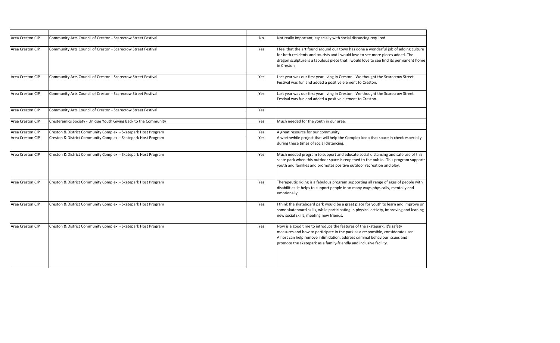| Community Arts Council of Creston - Scarecrow Street Festival    | No                                                            | Not really important, especially with social distancing required                                                                                                                                                                                                     |
|------------------------------------------------------------------|---------------------------------------------------------------|----------------------------------------------------------------------------------------------------------------------------------------------------------------------------------------------------------------------------------------------------------------------|
| Community Arts Council of Creston - Scarecrow Street Festival    | Yes                                                           | I feel that the art found around our town has done a wonderfu<br>for both residents and tourists and I would love to see more pi<br>dragon sculpture is a fabulous piece that I would love to see fir<br>in Creston                                                  |
| Community Arts Council of Creston - Scarecrow Street Festival    | Yes                                                           | Last year was our first year living in Creston. We thought the !<br>Festival was fun and added a positive element to Creston.                                                                                                                                        |
| Community Arts Council of Creston - Scarecrow Street Festival    | Yes                                                           | Last year was our first year living in Creston. We thought the !<br>Festival was fun and added a positive element to Creston.                                                                                                                                        |
| Community Arts Council of Creston - Scarecrow Street Festival    | Yes                                                           |                                                                                                                                                                                                                                                                      |
| Cresteramics Society - Unique Youth Giving Back to the Community | Yes                                                           | Much needed for the youth in our area.                                                                                                                                                                                                                               |
|                                                                  |                                                               | A great resource for our community                                                                                                                                                                                                                                   |
| Creston & District Community Complex - Skatepark Host Program    | Yes                                                           | A worthwhile project that will help the Complex keep that spa<br>during these times of social distancing.                                                                                                                                                            |
| Creston & District Community Complex - Skatepark Host Program    | Yes                                                           | Much needed program to support and educate social distancir<br>skate park when this outdoor space is reopened to the public.<br>youth and families and promotes positive outdoor recreation a                                                                        |
| Creston & District Community Complex - Skatepark Host Program    | Yes                                                           | Therapeutic riding is a fabulous program supporting all range o<br>disabilities. It helps to support people in so many ways physica<br>emotionally.                                                                                                                  |
| Creston & District Community Complex - Skatepark Host Program    | Yes                                                           | I think the skateboard park would be a great place for youth to<br>some skateboard skills, while participating in physical activity,<br>new social skills, meeting new friends.                                                                                      |
| Creston & District Community Complex - Skatepark Host Program    | Yes                                                           | Now is a good time to introduce the features of the skatepark,<br>measures and how to participate in the park as a responsible,<br>A host can help remove intimidation, address criminal behavio<br>promote the skatepark as a family-friendly and inclusive facilit |
|                                                                  | Creston & District Community Complex - Skatepark Host Program | Yes                                                                                                                                                                                                                                                                  |

 $\alpha$  has done a wonderful job of adding culture Id love to see more pieces added. The I would love to see find its permanent home

on. We thought the Scarecrow Street ment to Creston.

Frea Community Community Community Arts Consider Street Festival 2013 and Street In Creston Creston Creston Street ment to Creston.

omplex keep that space in check especially

Hucate social distancing and safe use of this opened to the public. This program supports goutdoor recreation and play.

supporting all range of ages of people with so many ways physically, mentally and

reat place for youth to learn and improve on g in physical activity, improving and leaning

ares of the skatepark, it's safety ark as a responsible, considerate user. ress criminal behaviour issues and ly and inclusive facility.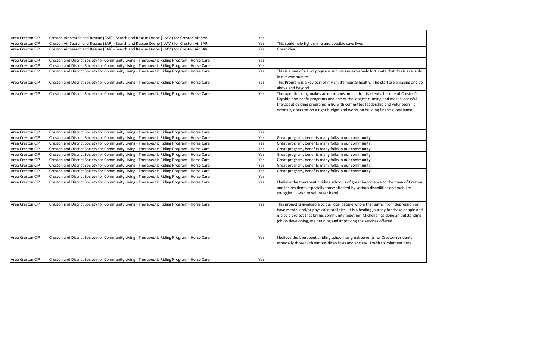| Area Creston CIP | Creston Air Search and Rescue (SAR) - Search and Rescue Drone (UAV) for Creston Air SAR     | Yes |                                                                                                                                                                                                                                                                                                                                            |
|------------------|---------------------------------------------------------------------------------------------|-----|--------------------------------------------------------------------------------------------------------------------------------------------------------------------------------------------------------------------------------------------------------------------------------------------------------------------------------------------|
| Area Creston CIP | Creston Air Search and Rescue (SAR) - Search and Rescue Drone ( UAV ) for Creston Air SAR   | Yes | This could help fight crime and possible save lives                                                                                                                                                                                                                                                                                        |
| Area Creston CIP | Creston Air Search and Rescue (SAR) - Search and Rescue Drone ( UAV) for Creston Air SAR    | Yes | Great idea!                                                                                                                                                                                                                                                                                                                                |
|                  |                                                                                             |     |                                                                                                                                                                                                                                                                                                                                            |
| Area Creston CIP | Creston and District Society for Community Living - Therapeutic Riding Program - Horse Care | Yes |                                                                                                                                                                                                                                                                                                                                            |
| Area Creston CIP | Creston and District Society for Community Living - Therapeutic Riding Program - Horse Care | Yes |                                                                                                                                                                                                                                                                                                                                            |
| Area Creston CIP | Creston and District Society for Community Living - Therapeutic Riding Program - Horse Care | Yes | This is a one of a kind program and we are extremely fortunate that this is available<br>in our community                                                                                                                                                                                                                                  |
| Area Creston CIP | Creston and District Society for Community Living - Therapeutic Riding Program - Horse Care | Yes | This Program is a key part of my child's mental health. The staff are amazing and go<br>above and beyond.                                                                                                                                                                                                                                  |
| Area Creston CIP | Creston and District Society for Community Living - Therapeutic Riding Program - Horse Care | Yes | Therapeutic riding makes an enormous impact for its clients. It's one of Creston's<br>flagship non-profit programs and one of the longest running and most successful<br>therapeutic riding programs in BC with committed leadership and volunteers. It<br>normally operates on a tight budget and works on building financial resilience. |
| Area Creston CIP | Creston and District Society for Community Living - Therapeutic Riding Program - Horse Care | Yes |                                                                                                                                                                                                                                                                                                                                            |
| Area Creston CIP | Creston and District Society for Community Living - Therapeutic Riding Program - Horse Care | Yes | Great program, benefits many folks in our community!                                                                                                                                                                                                                                                                                       |
| Area Creston CIP | Creston and District Society for Community Living - Therapeutic Riding Program - Horse Care | Yes | Great program, benefits many folks in our community!                                                                                                                                                                                                                                                                                       |
| Area Creston CIP | Creston and District Society for Community Living - Therapeutic Riding Program - Horse Care | Yes | Great program, benefits many folks in our community!                                                                                                                                                                                                                                                                                       |
| Area Creston CIP | Creston and District Society for Community Living - Therapeutic Riding Program - Horse Care | Yes | Great program, benefits many folks in our community!                                                                                                                                                                                                                                                                                       |
| Area Creston CIP | Creston and District Society for Community Living - Therapeutic Riding Program - Horse Care | Yes | Great program, benefits many folks in our community!                                                                                                                                                                                                                                                                                       |
| Area Creston CIP | Creston and District Society for Community Living - Therapeutic Riding Program - Horse Care | Yes | Great program, benefits many folks in our community!                                                                                                                                                                                                                                                                                       |
| Area Creston CIP | Creston and District Society for Community Living - Therapeutic Riding Program - Horse Care | Yes | Great program, benefits many folks in our community!                                                                                                                                                                                                                                                                                       |
| Area Creston CIP | Creston and District Society for Community Living - Therapeutic Riding Program - Horse Care | Yes |                                                                                                                                                                                                                                                                                                                                            |
| Area Creston CIP | Creston and District Society for Community Living - Therapeutic Riding Program - Horse Care | Yes | I believe the therapeutic riding school is of great importance to the town of Creston<br>and it's residents especially those affected by various disabilities and mobility<br>struggles. I wish to volunteer here!                                                                                                                         |
| Area Creston CIP | Creston and District Society for Community Living - Therapeutic Riding Program - Horse Care | Yes | This project is invaluable to our local people who either suffer from depression or<br>have mental and/or physical disabilities. It is a healing journey for these people and<br>is also a project that brings community together. Michelle has done an outstanding<br>job on developing, maintaining and improving the services offered.  |
| Area Creston CIP | Creston and District Society for Community Living - Therapeutic Riding Program - Horse Care | Yes | I believe the therapeutic riding school has great benefits for Creston residents<br>especially those with various disabilities and anxiety. I wish to volunteer here.                                                                                                                                                                      |
| Area Creston CIP | Creston and District Society for Community Living - Therapeutic Riding Program - Horse Care | Yes |                                                                                                                                                                                                                                                                                                                                            |
|                  |                                                                                             |     |                                                                                                                                                                                                                                                                                                                                            |

| This could help fight crime and possible save lives                                    |
|----------------------------------------------------------------------------------------|
| Great idea!                                                                            |
|                                                                                        |
|                                                                                        |
|                                                                                        |
| This is a one of a kind program and we are extremely fortunate that this is available  |
| in our community                                                                       |
| This Program is a key part of my child's mental health. The staff are amazing and go   |
| above and beyond.                                                                      |
| Therapeutic riding makes an enormous impact for its clients. It's one of Creston's     |
| flagship non-profit programs and one of the longest running and most successful        |
| therapeutic riding programs in BC with committed leadership and volunteers. It         |
| normally operates on a tight budget and works on building financial resilience.        |
|                                                                                        |
|                                                                                        |
|                                                                                        |
|                                                                                        |
| Great program, benefits many folks in our community!                                   |
| Great program, benefits many folks in our community!                                   |
| Great program, benefits many folks in our community!                                   |
| Great program, benefits many folks in our community!                                   |
| Great program, benefits many folks in our community!                                   |
| Great program, benefits many folks in our community!                                   |
| Great program, benefits many folks in our community!                                   |
|                                                                                        |
| I believe the therapeutic riding school is of great importance to the town of Creston  |
| and it's residents especially those affected by various disabilities and mobility      |
| struggles. I wish to volunteer here!                                                   |
|                                                                                        |
| This project is invaluable to our local people who either suffer from depression or    |
| have mental and/or physical disabilities. It is a healing journey for these people and |
| is also a project that brings community together. Michelle has done an outstanding     |
| job on developing, maintaining and improving the services offered.                     |
|                                                                                        |
|                                                                                        |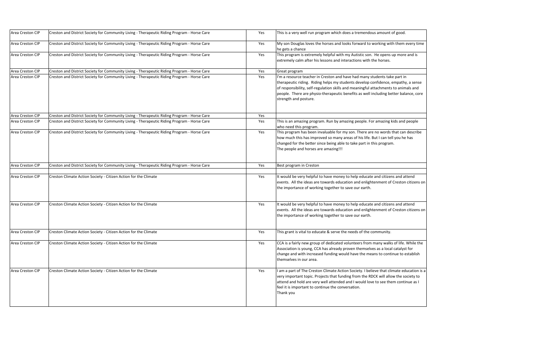| Area Creston CIP | Creston and District Society for Community Living - Therapeutic Riding Program - Horse Care | Yes | This is a very well run program which doe                                                                                                                                                                    |
|------------------|---------------------------------------------------------------------------------------------|-----|--------------------------------------------------------------------------------------------------------------------------------------------------------------------------------------------------------------|
| Area Creston CIP | Creston and District Society for Community Living - Therapeutic Riding Program - Horse Care | Yes | My son Douglas loves the horses and look<br>he gets a chance                                                                                                                                                 |
| Area Creston CIP | Creston and District Society for Community Living - Therapeutic Riding Program - Horse Care | Yes | This program is extremely helpful with my<br>extremely calm after his lessons and inter                                                                                                                      |
| Area Creston CIP | Creston and District Society for Community Living - Therapeutic Riding Program - Horse Care | Yes | Great program                                                                                                                                                                                                |
| Area Creston CIP | Creston and District Society for Community Living - Therapeutic Riding Program - Horse Care | Yes | I'm a resource teacher in Creston and hav<br>therapeutic riding. Riding helps my stude<br>of responsibility, self-regulation skills and<br>people. There are physio-therapeutic ber<br>strength and posture. |
| Area Creston CIP | Creston and District Society for Community Living - Therapeutic Riding Program - Horse Care | Yes |                                                                                                                                                                                                              |
| Area Creston CIP | Creston and District Society for Community Living - Therapeutic Riding Program - Horse Care | Yes | This is an amazing program. Run by amazi<br>who need this program.                                                                                                                                           |
| Area Creston CIP | Creston and District Society for Community Living - Therapeutic Riding Program - Horse Care | Yes | This program has been invaluable for my<br>how much this has improved so many are<br>changed for the better since being able to<br>The people and horses are amazing!!!                                      |
| Area Creston CIP | Creston and District Society for Community Living - Therapeutic Riding Program - Horse Care | Yes | Best program in Creston                                                                                                                                                                                      |
| Area Creston CIP | Creston Climate Action Society - Citizen Action for the Climate                             | Yes | It would be very helpful to have money to<br>events. All the ideas are towards education<br>the importance of working together to sat                                                                        |
| Area Creston CIP | Creston Climate Action Society - Citizen Action for the Climate                             | Yes | It would be very helpful to have money to<br>events. All the ideas are towards education<br>the importance of working together to sat                                                                        |
| Area Creston CIP | Creston Climate Action Society - Citizen Action for the Climate                             | Yes | This grant is vital to educate & serve the r                                                                                                                                                                 |
| Area Creston CIP | Creston Climate Action Society - Citizen Action for the Climate                             | Yes | CCA is a fairly new group of dedicated vol<br>Association is young, CCA has already pro<br>change and with increased funding would<br>themselves in our area.                                                |
| Area Creston CIP | Creston Climate Action Society - Citizen Action for the Climate                             | Yes | am a part of The Creston Climate Action<br>very important topic. Projects that fundin<br>attend and hold are very well attended ar<br>feel it is important to continue the conver<br>Thank you               |

Area Creston Creston and District Society For Connection Creston Care Riding Program - Horse Care This is a tremendous amount of good.

ks forward to working with them every time

Intequenties Creston Chesan and District Son. He opens up more and is This program is  $\overline{\phantom{a}}$ ractions with the horses.

 $\alpha$ e had many students take part in ents develop confidence, empathy, a sense I meaningful attachments to animals and nefits as well including better balance, core

ing people. For amazing kids and people

son. There are no words that can describe eas of his life. But I can tell you he has o take part in this program.

o help educate and citizens and attend on and enlightenment of Creston citizens on ive our earth.

o help educate and citizens and attend on and enlightenment of Creston citizens on ive our earth.

needs of the community.

lunteers from many walks of life. While the wen themselves as a local catalyst for d have the means to continue to establish

Area Coreston Clies Creston Climate - Citizen Creston is a part of The Creston is the Creston Creston Creston C ig from the RDCK will allow the society to nd I would love to see them continue as I rsation.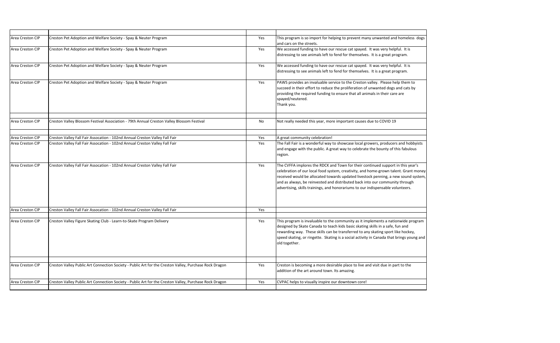| Area Creston CIP | Creston Pet Adoption and Welfare Society - Spay & Neuter Program<br>Creston Pet Adoption and Welfare Society - Spay & Neuter Program | Yes | This program is so import for helping to prevent ma<br>and cars on the streets.                                                                                                                                                                                                   |
|------------------|--------------------------------------------------------------------------------------------------------------------------------------|-----|-----------------------------------------------------------------------------------------------------------------------------------------------------------------------------------------------------------------------------------------------------------------------------------|
| Area Creston CIP |                                                                                                                                      |     |                                                                                                                                                                                                                                                                                   |
|                  |                                                                                                                                      |     |                                                                                                                                                                                                                                                                                   |
|                  |                                                                                                                                      | Yes | We accessed funding to have our rescue cat spayed<br>distressing to see animals left to fend for themselve                                                                                                                                                                        |
| Area Creston CIP | Creston Pet Adoption and Welfare Society - Spay & Neuter Program                                                                     | Yes | We accessed funding to have our rescue cat spayed<br>distressing to see animals left to fend for themselve                                                                                                                                                                        |
| Area Creston CIP | Creston Pet Adoption and Welfare Society - Spay & Neuter Program                                                                     | Yes | PAWS provides an invaluable service to the Creston<br>succeed in their effort to reduce the proliferation of<br>providing the required funding to ensure that all an<br>spayed/neutered.<br>Thank you.                                                                            |
| Area Creston CIP | Creston Valley Blossom Festival Association - 79th Annual Creston Valley Blossom Festival                                            | No  | Not really needed this year, more important causes                                                                                                                                                                                                                                |
| Area Creston CIP | Creston Valley Fall Fair Assocation - 102nd Annual Creston Valley Fall Fair                                                          | Yes | A great community celebration!                                                                                                                                                                                                                                                    |
| Area Creston CIP | Creston Valley Fall Fair Assocation - 102nd Annual Creston Valley Fall Fair                                                          | Yes | The Fall Fair is a wonderful way to showcase local go<br>and engage with the public. A great way to celebrat<br>region.                                                                                                                                                           |
| Area Creston CIP | Creston Valley Fall Fair Assocation - 102nd Annual Creston Valley Fall Fair                                                          | Yes | The CVFFA implores the RDCK and Town for their co<br>celebration of our local food system, creativity, and<br>received would be allocated towards updated livest<br>and as always, be reinvested and distributed back ir<br>advertising, skills trainings, and honorariums to our |
| Area Creston CIP | Creston Valley Fall Fair Assocation - 102nd Annual Creston Valley Fall Fair                                                          | Yes |                                                                                                                                                                                                                                                                                   |
| Area Creston CIP | Creston Valley Figure Skating Club - Learn-to-Skate Program Delivery                                                                 | Yes | This program is invaluable to the community as it in<br>designed by Skate Canada to teach kids basic skatin<br>rewarding way. These skills can be transferred to a<br>speed skating, or ringette. Skating is a social activit<br>old together.                                    |
| Area Creston CIP | Creston Valley Public Art Connection Society - Public Art for the Creston Valley, Purchase Rock Dragon                               | Yes | Creston is becoming a more desirable place to live a<br>addition of the art around town. Its amazing.                                                                                                                                                                             |
| Area Creston CIP | Creston Valley Public Art Connection Society - Public Art for the Creston Valley, Purchase Rock Dragon                               | Yes | CVPAC helps to visually inspire our downtown core!                                                                                                                                                                                                                                |

Prevent many unwanted and homeless dogs

cat spayed. It was very helpful. It is themselves. It is a great program.

cat spayed. It was very helpful. It is themselves. It is a great program.

he Creston valley. Please help them to iferation of unwanted dogs and cats by that all animals in their care are

ant causes due to COVID 19th Annual Creston Coving Industrial Creston Industrial Industrial North Coving 19th

ase local growers, producers and hobbyists to celebrate the bounty of this fabulous

for their continued support in this year's itivity, and home-grown talent. Grant money ated livestock penning, a new sound system, ted back into our community through ams to our indispensable volunteers.

nity as it implements a nationwide program asic skating skills in a safe, fun and ferred to any skating sport like hockey, ocial activity in Canada that brings young and

ce to live and visit due in part to the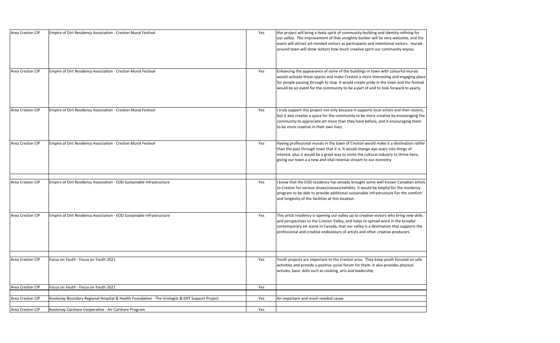| Area Creston CIP<br>Empire of Dirt Residency Association - Creston Mural Festival                                 | Yes | this project will bring a lively spirit of commu<br>our valley. The improvement of that unsight<br>event will attract art-minded visitors as parti<br>around town will show visitors how much cre   |
|-------------------------------------------------------------------------------------------------------------------|-----|-----------------------------------------------------------------------------------------------------------------------------------------------------------------------------------------------------|
| Area Creston CIP<br>Empire of Dirt Residency Association - Creston Mural Festival                                 | Yes | Enhancing the appearance of some of the bu<br>would activate those spaces and make Cresto<br>for people passing through to stop. It would<br>would be an event for the community to be a            |
| Empire of Dirt Residency Association - Creston Mural Festival<br>Area Creston CIP                                 | Yes | I truly support this project not only because i<br>but it also creates a space for the community<br>community to appreciate art more than they<br>to be more creative in their own lives.           |
| Area Creston CIP<br>Empire of Dirt Residency Association - Creston Mural Festival                                 | Yes | Having professional murals in the town of Cr<br>than the pass through town that it is. It woul<br>interest. plus it would be a great way to invit<br>giving our town a a new and vital revenue str  |
| Empire of Dirt Residency Association - EOD Sustainable Infrastructure<br>Area Creston CIP                         | Yes | I know that the EOD residency has already br<br>to Creston for various shows/classes/exhibits<br>program to be able to provide additional sust<br>and longevity of the facilities at this location. |
| Empire of Dirt Residency Association - EOD Sustainable Infrastructure<br>Area Creston CIP                         | Yes | This artist residency is opening our valley up<br>and perspectives to the Creston Valley, and h<br>contemporary art scene in Canada, that our<br>professional and creative endeavours of artis      |
| Area Creston CIP<br>Focus on Youth - Focus on Youth 2021                                                          | Yes | Youth projects are important to the Creston<br>activities and provide a positive social forum<br>activies, basic skills such as cooking, arts and                                                   |
| Area Creston CIP<br>Focus on Youth - Focus on Youth 2021                                                          | Yes |                                                                                                                                                                                                     |
| Kootenay Boundary Regional Hospital & Health Foundation - The Urologist & ENT Support Project<br>Area Creston CIP | Yes | An important and much needed cause.                                                                                                                                                                 |
| Area Creston CIP<br>Kootenay Carshare Cooperative - Air Carshare Program                                          | Yes |                                                                                                                                                                                                     |

Area Creston Compire Oreston Creston Creston Creston Munity-building and identity-refining for ightly bunker will be very welcome, and the articipants and intentional visitors. murals n creative spirit our community enjoys.

e buildings in town with colourful murals eston a more interesting and engaging place uld create pride in the town and the festival be a part of and to look forward to yearly.

ase it supports local artists and their visions, inity to be more creative by encouraging the hey have before, and it encouraging them

f Creston would make it a destination rather vould change eye-soars into things of nvite the cultural industry to thrive here, e stream to our economy

y brought some well known Canadian artists ibits. It would be helpful for the residency sustainable infrastructure For the comfort

up to creative visitors who bring new skills nd helps to spread word in the broader our valley is a destination that supports the artists and other creative producers.

ton area. They keep youth focused on safe um for them. It also provides physical and leadership.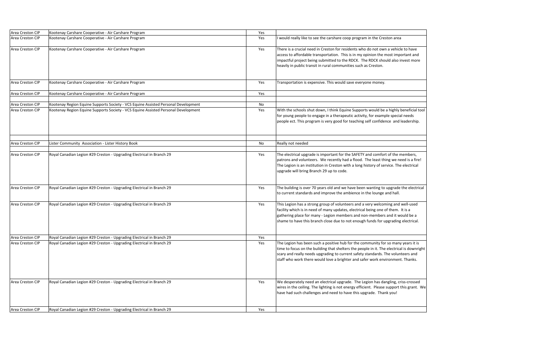| Area Creston CIP                     | Kootenay Carshare Cooperative - Air Carshare Program                                                                                                                     | Yes       |                                                                                                                                                                                                                                                                       |
|--------------------------------------|--------------------------------------------------------------------------------------------------------------------------------------------------------------------------|-----------|-----------------------------------------------------------------------------------------------------------------------------------------------------------------------------------------------------------------------------------------------------------------------|
| Area Creston CIP                     | Kootenay Carshare Cooperative - Air Carshare Program                                                                                                                     | Yes       | I would really like to see the carshare coop program in the Cre                                                                                                                                                                                                       |
| Area Creston CIP                     | Kootenay Carshare Cooperative - Air Carshare Program                                                                                                                     | Yes       | There is a crucial need in Creston for residents who do not ow<br>access to affordable transportation. This is in my opinion the i<br>impactful project being submitted to the RDCK. The RDCK sho<br>heavily in public transit in rural communities such as Creston.  |
| Area Creston CIP                     | Kootenay Carshare Cooperative - Air Carshare Program                                                                                                                     | Yes       | Transportation is expensive. This would save everyone money.                                                                                                                                                                                                          |
| Area Creston CIP                     | Kootenay Carshare Cooperative - Air Carshare Program                                                                                                                     | Yes       |                                                                                                                                                                                                                                                                       |
|                                      |                                                                                                                                                                          |           |                                                                                                                                                                                                                                                                       |
| Area Creston CIP<br>Area Creston CIP | Kootenay Region Equine Supports Society - VCS Equine Assisted Personal Development<br>Kootenay Region Equine Supports Society - VCS Equine Assisted Personal Development | No<br>Yes | With the schools shut down, I think Equine Supports would be<br>for young people to engage in a therapeutic activity, for example<br>people ect. This program is very good for teaching self confide                                                                  |
| Area Creston CIP                     | Lister Community Association - Lister History Book                                                                                                                       | No        | Really not needed                                                                                                                                                                                                                                                     |
| Area Creston CIP                     | Royal Canadian Legion #29 Creston - Upgrading Electrical in Branch 29                                                                                                    | Yes       | The electrical upgrade is important for the SAFETY and comfor<br>patrons and volunteers. We recently had a flood. The least th<br>The Legion is an institution in Creston with a long history of se<br>upgrade will bring Branch 29 up to code.                       |
| <b>Area Creston CIP</b>              | Royal Canadian Legion #29 Creston - Upgrading Electrical in Branch 29                                                                                                    | Yes       | The building is over 70 years old and we have been wanting to<br>to current standards and improve the ambience in the lounge                                                                                                                                          |
| Area Creston CIP                     | Royal Canadian Legion #29 Creston - Upgrading Electrical in Branch 29                                                                                                    | Yes       | This Legion has a strong group of volunteers and a very welcor<br>facility which is in need of many updates, electrical being one<br>gathering place for many - Legion members and non-members<br>shame to have this branch close due to not enough funds for u       |
| Area Creston CIP                     | Royal Canadian Legion #29 Creston - Upgrading Electrical in Branch 29                                                                                                    | Yes       |                                                                                                                                                                                                                                                                       |
| <b>Area Creston CIP</b>              | Royal Canadian Legion #29 Creston - Upgrading Electrical in Branch 29                                                                                                    | Yes       | The Legion has been such a positive hub for the community fo<br>time to focus on the building that shelters the people in it. The<br>scary and really needs upgrading to current safety standards. 1<br>staff who work there would love a brighter and safer work env |
| Area Creston CIP                     | Royal Canadian Legion #29 Creston - Upgrading Electrical in Branch 29                                                                                                    | Yes       | We desperately need an electrical upgrade. The Legion has da<br>wires in the ceiling. The lighting is not energy efficient. Please<br>have had such challenges and need to have this upgrade. Thai                                                                    |
| Area Creston CIP                     | Royal Canadian Legion #29 Creston - Upgrading Electrical in Branch 29                                                                                                    | Yes       |                                                                                                                                                                                                                                                                       |

pp program in the Creston area

dents who do not own a vehicle to have is in my opinion the most important and RDCK. The RDCK should also invest more ties such as Creston.

Rea Supports would be a highly beneficial tools itic activity, for example special needs teaching self confidence and leadership.

e SAFETY and comfort of the members, I a flood. The least thing we need is a fire! th a long history of service. The electrical

have been wanting to upgrade the electrical bience in the lounge and hall.

ers and a very welcoming and well-used electrical being one of them. It is a ers and non-members and it would be a ot enough funds for upgrading electrical.

for the community for so many years it is s the people in it. The electrical is downright nt safety standards. The volunteers and er and safer work environment. Thanks.

de. The Legion has dangling, criss-crossed ergy efficient. Please support this grant. We ve this upgrade. Thank you!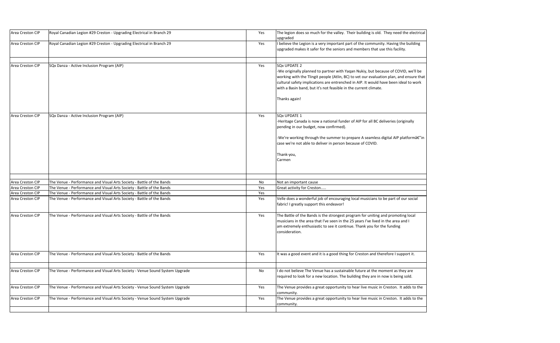| Area Creston CIP | Royal Canadian Legion #29 Creston - Upgrading Electrical in Branch 29        | Yes | The legion does so much for the valley. Tl<br>upgraded                                                                                                                                                         |
|------------------|------------------------------------------------------------------------------|-----|----------------------------------------------------------------------------------------------------------------------------------------------------------------------------------------------------------------|
| Area Creston CIP | Royal Canadian Legion #29 Creston - Upgrading Electrical in Branch 29        | Yes | I believe the Legion is a very important pa<br>upgraded makes it safer for the seniors ar                                                                                                                      |
| Area Creston CIP | SQx Danza - Active Inclusion Program (AIP)                                   | Yes | <b>SQx UPDATE 2</b><br>-We originally planned to partner with Ya<br>working with the Tlingit people (Atlin, BC)<br>cultural safety implications are entrenche<br>with a Basin band, but it's not feasible in t |
| Area Creston CIP | SQx Danza - Active Inclusion Program (AIP)                                   | Yes | Thanks again!<br><b>SQx UPDATE 1</b>                                                                                                                                                                           |
|                  |                                                                              |     | -Heritage Canada is now a national funder<br>pending in our budget, now confirmed).<br>-We're working through the summer to pi<br>case we're not able to deliver in person be<br>Thank-you,<br>Carmen          |
| Area Creston CIP | The Venue - Performance and Visual Arts Society - Battle of the Bands        | No  | Not an important cause                                                                                                                                                                                         |
| Area Creston CIP | The Venue - Performance and Visual Arts Society - Battle of the Bands        | Yes | Great activity for Creston                                                                                                                                                                                     |
| Area Creston CIP | The Venue - Performance and Visual Arts Society - Battle of the Bands        | Yes |                                                                                                                                                                                                                |
| Area Creston CIP | The Venue - Performance and Visual Arts Society - Battle of the Bands        | Yes | Velle does a wonderful job of encouraging<br>fabric! I greatly support this endeavor!                                                                                                                          |
| Area Creston CIP | The Venue - Performance and Visual Arts Society - Battle of the Bands        | Yes | The Battle of the Bands is the strongest pr<br>musicians in the area that I've seen in the<br>am extremely enthusiastic to see it contin<br>consideration.                                                     |
| Area Creston CIP | The Venue - Performance and Visual Arts Society - Battle of the Bands        | Yes | It was a good event and it is a good thing                                                                                                                                                                     |
| Area Creston CIP | The Venue - Performance and Visual Arts Society - Venue Sound System Upgrade | No  | I do not believe The Venue has a sustainal<br>required to look for a new location. The b                                                                                                                       |
| Area Creston CIP | The Venue - Performance and Visual Arts Society - Venue Sound System Upgrade | Yes | The Venue provides a great opportunity to<br>community.                                                                                                                                                        |
| Area Creston CIP | The Venue - Performance and Visual Arts Society - Venue Sound System Upgrade | Yes | The Venue provides a great opportunity to<br>community.                                                                                                                                                        |

Their building is old. They need the electrical

art of the community. Having the building nd members that use this facility.

Iqan Nukiy, but because of COVID, we'll be ) to vet our evaluation plan, and ensure that ed in AIP. It would have been ideal to work the current climate.

r of AIP for all BC deliveries (originally

 $\alpha$ repare A seamless digital AIP platformâ $\epsilon$ "in ecause of COVID.

g local musicians to be part of our social

rogram for uniting and promoting local musicians in the area and I've lived in the area and I nue. Thank you for the funding

for Creston and therefore I support it.

ble future at the moment as they are building they are in now is being sold.

to hear live music in Creston. It adds to the

to hear live music in Creston. It adds to the Up